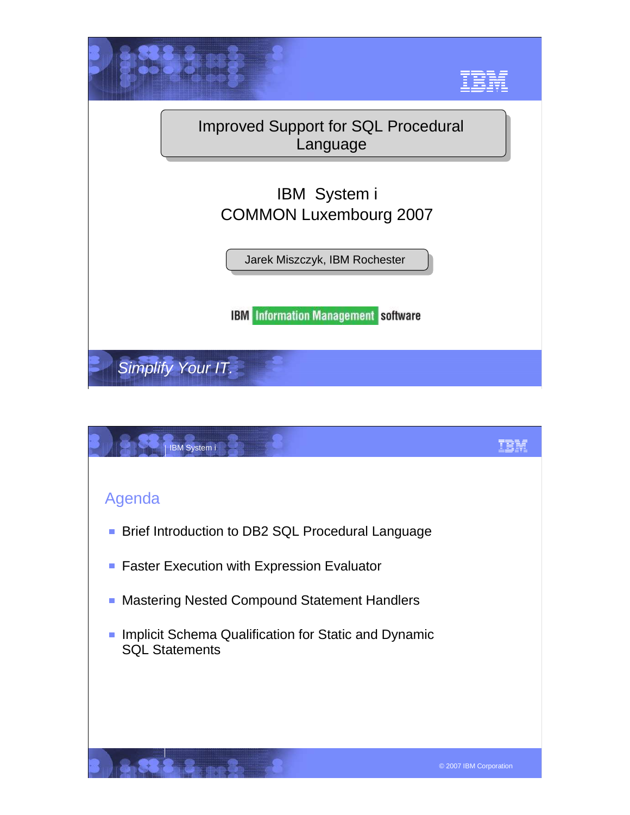

| IBM System i                                                                     |                        |
|----------------------------------------------------------------------------------|------------------------|
|                                                                                  |                        |
| Agenda                                                                           |                        |
| Brief Introduction to DB2 SQL Procedural Language                                |                        |
| <b>Faster Execution with Expression Evaluator</b><br>$\mathcal{L}_{\mathcal{A}}$ |                        |
| <b>Mastering Nested Compound Statement Handlers</b>                              |                        |
| Implicit Schema Qualification for Static and Dynamic<br><b>SQL Statements</b>    |                        |
|                                                                                  |                        |
|                                                                                  | © 2007 IBM Corporation |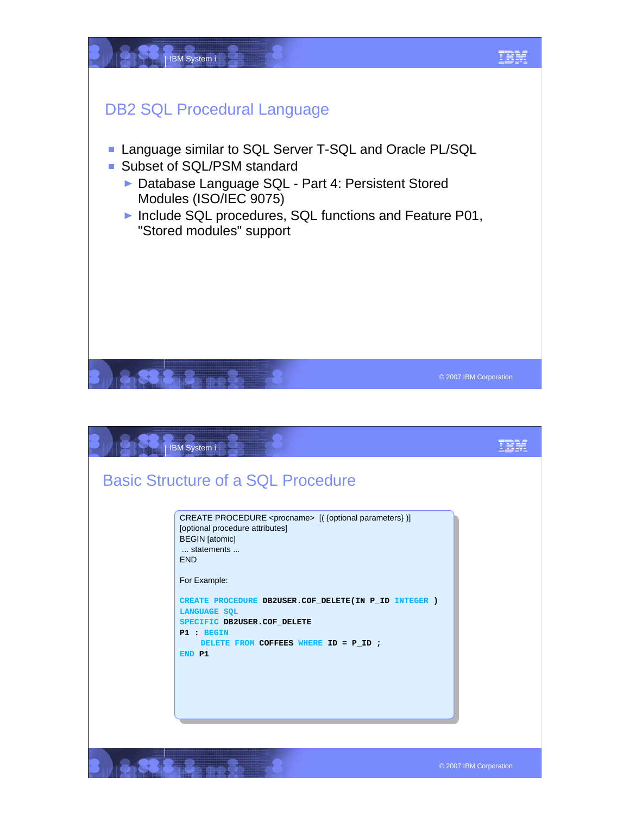

| IBM System i                                                                                                                                                                                                                                                                                                                                                          |                        |
|-----------------------------------------------------------------------------------------------------------------------------------------------------------------------------------------------------------------------------------------------------------------------------------------------------------------------------------------------------------------------|------------------------|
| <b>Basic Structure of a SQL Procedure</b>                                                                                                                                                                                                                                                                                                                             |                        |
| CREATE PROCEDURE <procname> [({optional parameters})]<br/>[optional procedure attributes]<br/><b>BEGIN</b> [atomic]<br/> statements <br/><b>END</b><br/>For Example:<br/>CREATE PROCEDURE DB2USER.COF_DELETE(IN P_ID_INTEGER )<br/><b>LANGUAGE SOL</b><br/>SPECIFIC DB2USER.COF_DELETE<br/>P1 : BEGIN<br/>DELETE FROM COFFEES WHERE ID = P_ID ;<br/>END P1</procname> |                        |
|                                                                                                                                                                                                                                                                                                                                                                       | © 2007 IBM Corporation |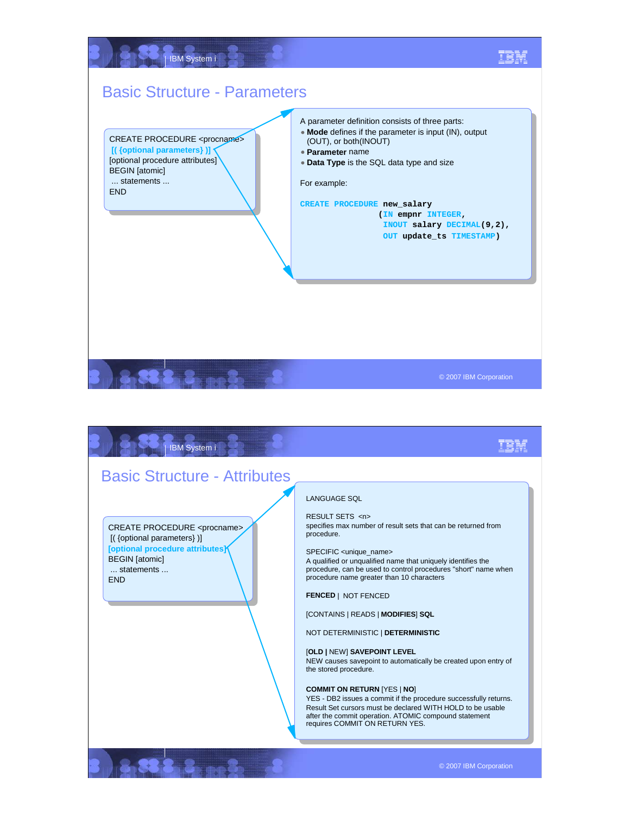

8888 8 20 3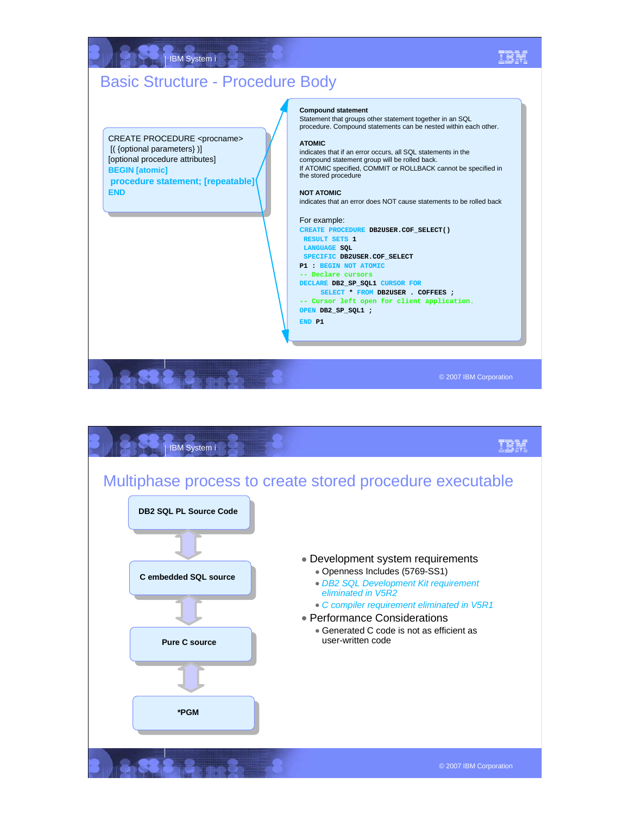## IBM System i IEM Basic Structure - Procedure Body **Compound statement** Statement that groups other statement together in an SQL procedure. Compound statements can be nested within each other. CREATE PROCEDURE <procname> **ATOMIC** [( {optional parameters} )] indicates that if an error occurs, all SQL statements in the [optional procedure attributes] compound statement group will be rolled back. If ATOMIC specified, COMMIT or ROLLBACK cannot be specified in **BEGIN [atomic]** the stored procedure **procedure statement; [repeatable] END NOT ATOMIC** indicates that an error does NOT cause statements to be rolled back For example: **CREATE PROCEDURE DB2USER.COF\_SELECT() RESULT SETS 1 LANGUAGE SQL SPECIFIC DB2USER.COF\_SELECT P1 : BEGIN NOT ATOMIC -- Declare cursors DECLARE DB2\_SP\_SQL1 CURSOR FOR SELECT \* FROM DB2USER . COFFEES ; -- Cursor left open for client application. OPEN DB2\_SP\_SQL1 ; END P1**  © 2007 IBM Corporation

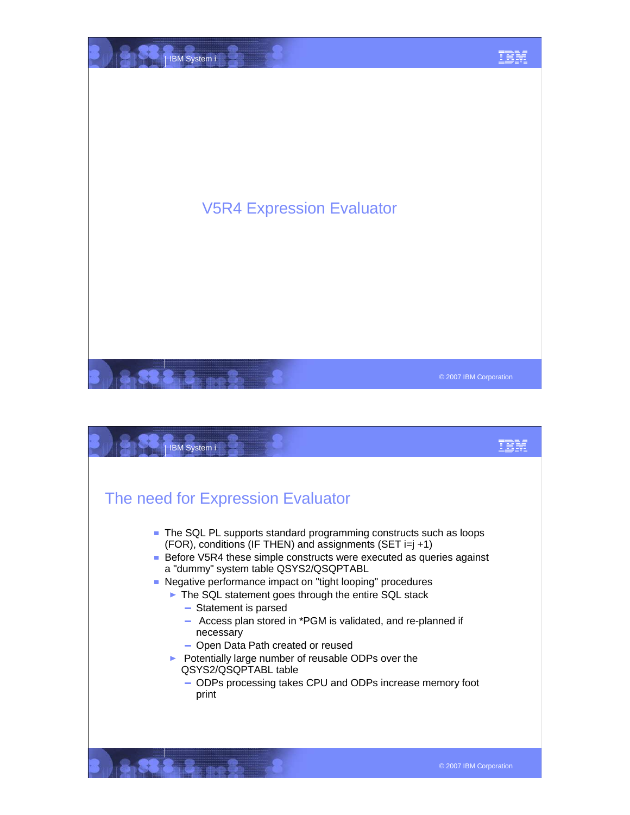

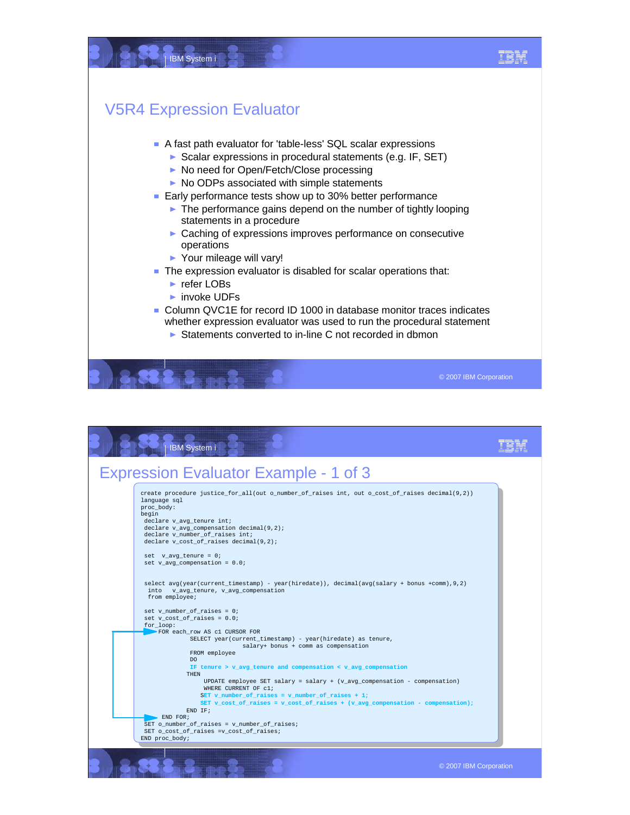

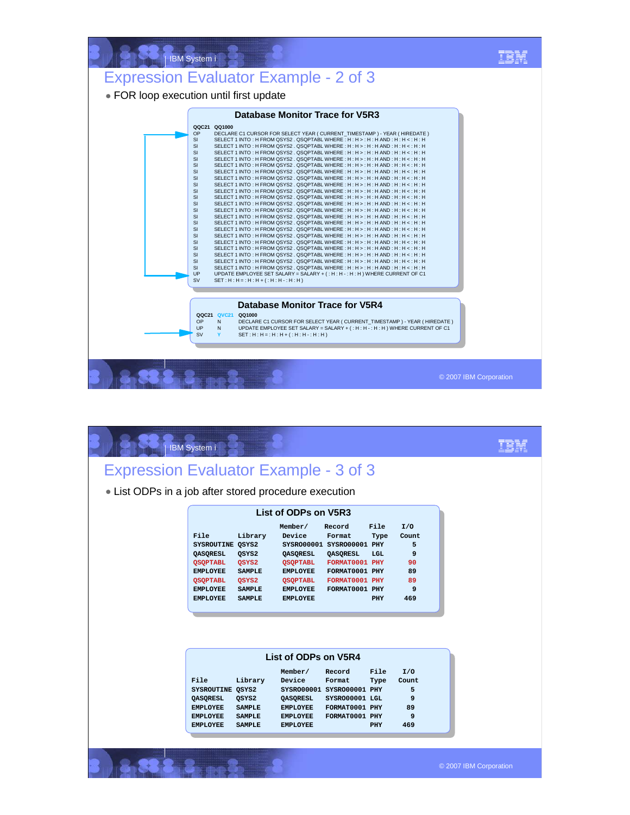

|                                                       | <b>IBM</b> System i                                                                                                                 |                                                                                |                                                                                                                |                                                                                                                                          |                            |                                                      |  |
|-------------------------------------------------------|-------------------------------------------------------------------------------------------------------------------------------------|--------------------------------------------------------------------------------|----------------------------------------------------------------------------------------------------------------|------------------------------------------------------------------------------------------------------------------------------------------|----------------------------|------------------------------------------------------|--|
| <b>Expression Evaluator Example - 3 of 3</b>          |                                                                                                                                     |                                                                                |                                                                                                                |                                                                                                                                          |                            |                                                      |  |
| • List ODPs in a job after stored procedure execution |                                                                                                                                     |                                                                                |                                                                                                                |                                                                                                                                          |                            |                                                      |  |
|                                                       |                                                                                                                                     |                                                                                | List of ODPs on V5R3                                                                                           |                                                                                                                                          |                            |                                                      |  |
|                                                       | File<br>SYSROUTINE QSYS2<br>QASQRESL<br><b>QSQPTABL</b><br><b>EMPLOYEE</b><br><b>QSQPTABL</b><br><b>EMPLOYEE</b><br><b>EMPLOYEE</b> | Library<br>QSYS2<br>QSYS2<br><b>SAMPLE</b><br>QSYS2<br><b>SAMPLE</b><br>SAMPLE | Member/<br>Device<br>QASQRESL<br><b>QSQPTABL</b><br>EMPLOYEE<br>QSQPTABL<br><b>EMPLOYEE</b><br><b>EMPLOYEE</b> | Record<br>Format<br>SYSRO00001 SYSRO00001 PHY<br><b>QASQRESL</b><br>FORMAT0001 PHY<br>FORMAT0001 PHY<br>FORMAT0001 PHY<br>FORMAT0001 PHY | File<br>Type<br>LGL<br>PHY | I/O<br>Count<br>5<br>9<br>90<br>89<br>89<br>9<br>469 |  |
|                                                       |                                                                                                                                     |                                                                                | List of ODPs on V5R4                                                                                           |                                                                                                                                          |                            |                                                      |  |
|                                                       | File<br>SYSROUTINE QSYS2<br>QASQRESL<br><b>EMPLOYEE</b><br><b>EMPLOYEE</b><br><b>EMPLOYEE</b>                                       | Library<br>QSYS2<br><b>SAMPLE</b><br><b>SAMPLE</b><br><b>SAMPLE</b>            | Member/<br>Device<br>QASQRESL<br><b>EMPLOYEE</b><br><b>EMPLOYEE</b><br><b>EMPLOYEE</b>                         | Record<br>Format<br>SYSRO00001 SYSRO00001 PHY<br>SYSRO00001 LGL<br>FORMAT0001 PHY<br>FORMAT0001 PHY                                      | File<br>Type<br>PHY        | I/O<br>Count<br>5<br>9<br>89<br>9<br>469             |  |

3 2 a 3 3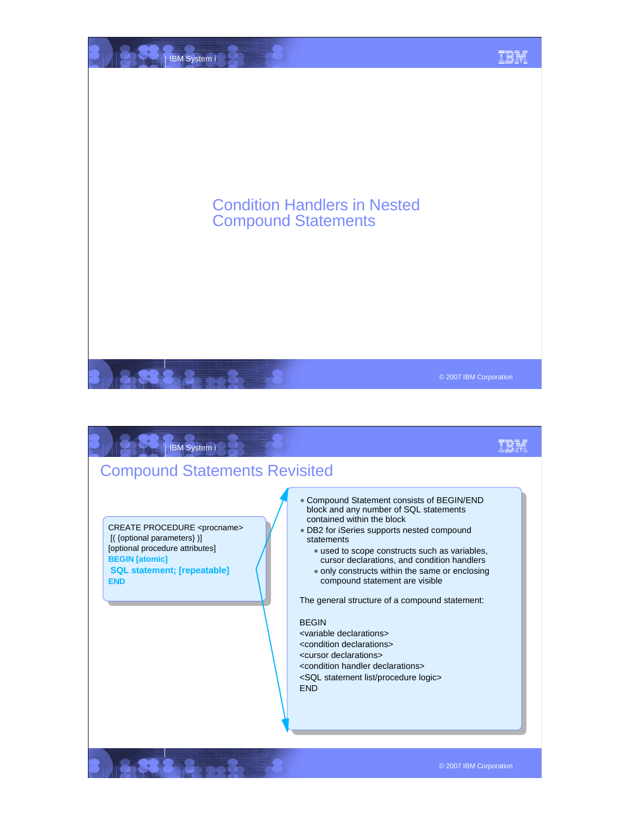

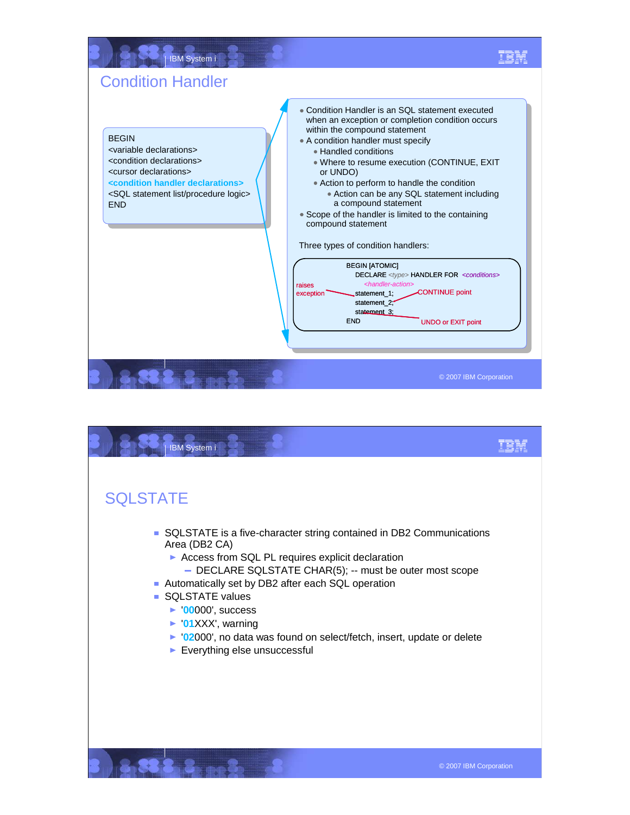

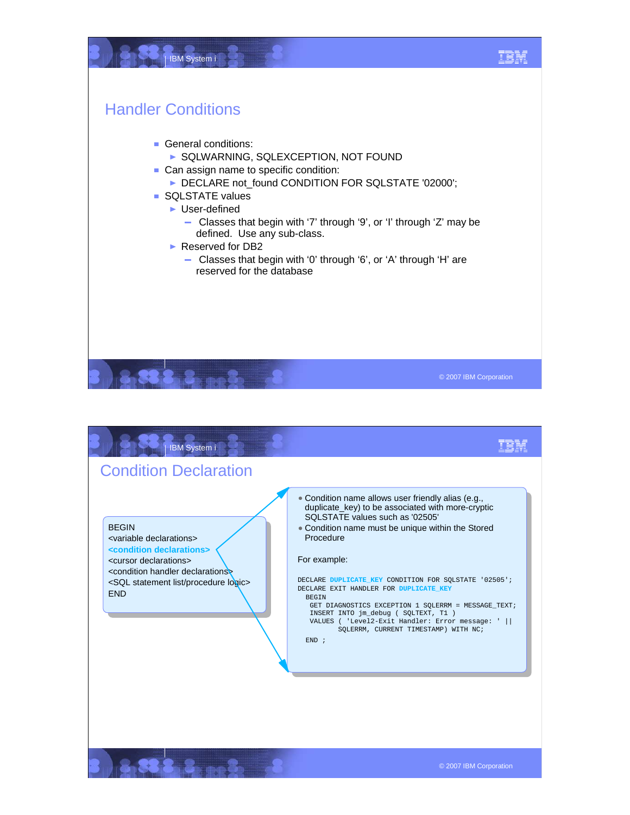

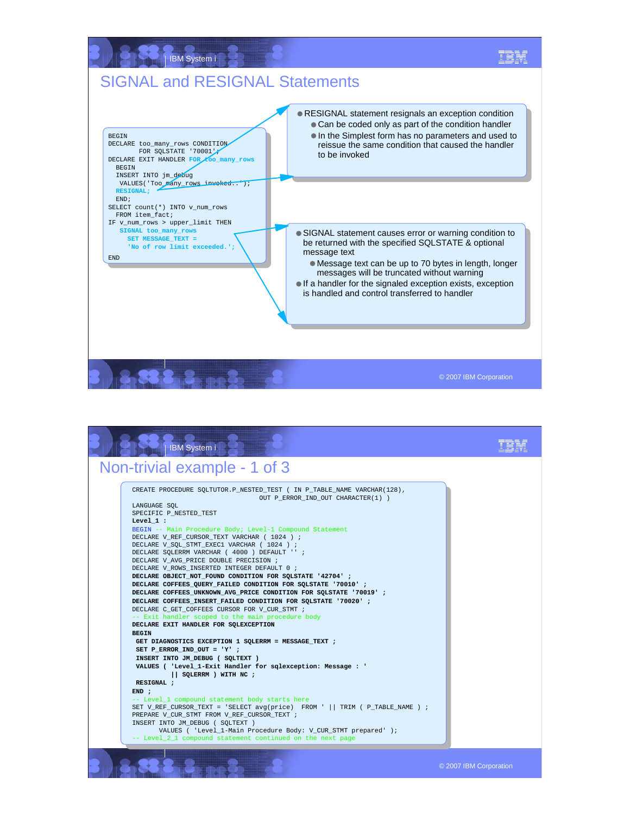

| <b>IBM System i</b>                                                                                                                                                                                                                                                                                                                                                                                                                                                                                                                                                                                                                                                                                                                                                                                                                                                                                                                                                                                                                                                                                                                                                                                                                                                                                                                                                                                                                                                                                            |                        |
|----------------------------------------------------------------------------------------------------------------------------------------------------------------------------------------------------------------------------------------------------------------------------------------------------------------------------------------------------------------------------------------------------------------------------------------------------------------------------------------------------------------------------------------------------------------------------------------------------------------------------------------------------------------------------------------------------------------------------------------------------------------------------------------------------------------------------------------------------------------------------------------------------------------------------------------------------------------------------------------------------------------------------------------------------------------------------------------------------------------------------------------------------------------------------------------------------------------------------------------------------------------------------------------------------------------------------------------------------------------------------------------------------------------------------------------------------------------------------------------------------------------|------------------------|
| Non-trivial example - 1 of 3                                                                                                                                                                                                                                                                                                                                                                                                                                                                                                                                                                                                                                                                                                                                                                                                                                                                                                                                                                                                                                                                                                                                                                                                                                                                                                                                                                                                                                                                                   |                        |
| CREATE PROCEDURE SOLTUTOR.P NESTED TEST ( IN P TABLE NAME VARCHAR(128),<br>OUT P ERROR IND OUT CHARACTER(1))<br>LANGUAGE SOL<br>SPECIFIC P NESTED TEST<br>Level $1:$<br>BEGIN -- Main Procedure Body; Level-1 Compound Statement<br>DECLARE V REF CURSOR TEXT VARCHAR ( 1024 ) ;<br>DECLARE V SOL STMT EXEC1 VARCHAR ( 1024 ) ;<br>DECLARE SOLERRM VARCHAR ( 4000 ) DEFAULT '' ;<br>DECLARE V AVG PRICE DOUBLE PRECISION ;<br>DECLARE V ROWS INSERTED INTEGER DEFAULT 0 ;<br>DECLARE OBJECT_NOT_FOUND CONDITION FOR SQLSTATE '42704' ;<br>DECLARE COFFEES QUERY FAILED CONDITION FOR SQLSTATE '70010';<br>DECLARE COFFEES UNKNOWN AVG PRICE CONDITION FOR SOLSTATE '70019' ;<br>DECLARE COFFEES INSERT FAILED CONDITION FOR SOLSTATE '70020' ;<br>DECLARE C GET COFFEES CURSOR FOR V CUR STMT ;<br>-- Exit handler scoped to the main procedure body<br>DECLARE EXIT HANDLER FOR SOLEXCEPTION<br><b>BEGIN</b><br>GET DIAGNOSTICS EXCEPTION 1 SQLERRM = MESSAGE TEXT ;<br>SET P ERROR IND OUT = $'Y'$ ;<br>INSERT INTO JM DEBUG (SQLTEXT)<br>VALUES ( 'Level_1-Exit Handler for sqlexception: Message : '<br>   SQLERRM ) WITH NC ;<br>RESIGNAL :<br>END:<br>-- Level 1 compound statement body starts here<br>SET V REF CURSOR TEXT = 'SELECT avq(price) FROM '     TRIM ( P TABLE NAME ) ;<br>PREPARE V CUR STMT FROM V REF CURSOR TEXT ;<br>INSERT INTO JM DEBUG ( SOLTEXT )<br>VALUES ( 'Level_1-Main Procedure Body: V_CUR_STMT prepared' );<br>-- Level_2_1 compound statement continued on the next page |                        |
|                                                                                                                                                                                                                                                                                                                                                                                                                                                                                                                                                                                                                                                                                                                                                                                                                                                                                                                                                                                                                                                                                                                                                                                                                                                                                                                                                                                                                                                                                                                | © 2007 IBM Corporation |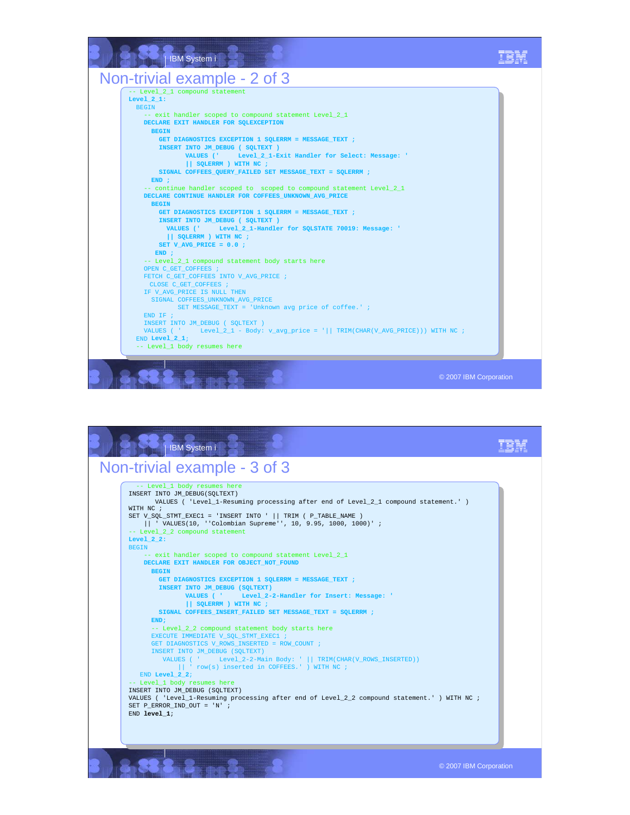

| IBM System i                                                                                                                                                                                                                                                                                                                                        |                                                                                                                                                                                                                                                                                                                                                                                                                                                                                                                                                                                                                                                                                                                                                                                                                                                                                                                                                  |                        |
|-----------------------------------------------------------------------------------------------------------------------------------------------------------------------------------------------------------------------------------------------------------------------------------------------------------------------------------------------------|--------------------------------------------------------------------------------------------------------------------------------------------------------------------------------------------------------------------------------------------------------------------------------------------------------------------------------------------------------------------------------------------------------------------------------------------------------------------------------------------------------------------------------------------------------------------------------------------------------------------------------------------------------------------------------------------------------------------------------------------------------------------------------------------------------------------------------------------------------------------------------------------------------------------------------------------------|------------------------|
| Non-trivial example - 3 of 3                                                                                                                                                                                                                                                                                                                        |                                                                                                                                                                                                                                                                                                                                                                                                                                                                                                                                                                                                                                                                                                                                                                                                                                                                                                                                                  |                        |
| -- Level 1 body resumes here<br>INSERT INTO JM DEBUG(SOLTEXT)<br>WITH NC ;<br>-- Level 2 2 compound statement<br>Level $2 2:$<br><b>BEGIN</b><br><b>BEGIN</b><br>END:<br>INSERT INTO JM DEBUG (SOLTEXT)<br>END Level $2 2i$<br>-- Level 1 body resumes here<br>INSERT INTO JM DEBUG (SOLTEXT)<br>SET P ERROR IND OUT = $'N'$ ;<br>$END$ level $1$ ; | VALUES ( 'Level 1-Resuming processing after end of Level 2 1 compound statement.' )<br>SET V_SQL_STMT_EXEC1 = 'INSERT INTO '    TRIM ( P_TABLE_NAME )<br>   ' VALUES(10, ''Colombian Supreme'', 10, 9.95, 1000, 1000)' ;<br>-- exit handler scoped to compound statement Level 2 1<br>DECLARE EXIT HANDLER FOR OBJECT NOT FOUND<br>GET DIAGNOSTICS EXCEPTION 1 SQLERRM = MESSAGE TEXT ;<br>INSERT INTO JM DEBUG (SQLTEXT)<br>VALUES ( ' Level 2-2-Handler for Insert: Message: '<br>$\vert$ SOLERRM ) WITH NC :<br>SIGNAL COFFEES INSERT FAILED SET MESSAGE TEXT = SOLERRM ;<br>-- Level 2 2 compound statement body starts here<br>EXECUTE IMMEDIATE V SOL STMT EXEC1 ;<br>GET DIAGNOSTICS V ROWS INSERTED = ROW COUNT ;<br>VALUES ( ' Level_2-2-Main Body: '     TRIM(CHAR(V_ROWS_INSERTED))<br>   ' row(s) inserted in COFFEES.' ) WITH NC ;<br>VALUES ( 'Level 1-Resuming processing after end of Level 2 2 compound statement.' ) WITH NC ; |                        |
|                                                                                                                                                                                                                                                                                                                                                     |                                                                                                                                                                                                                                                                                                                                                                                                                                                                                                                                                                                                                                                                                                                                                                                                                                                                                                                                                  | © 2007 IBM Corporation |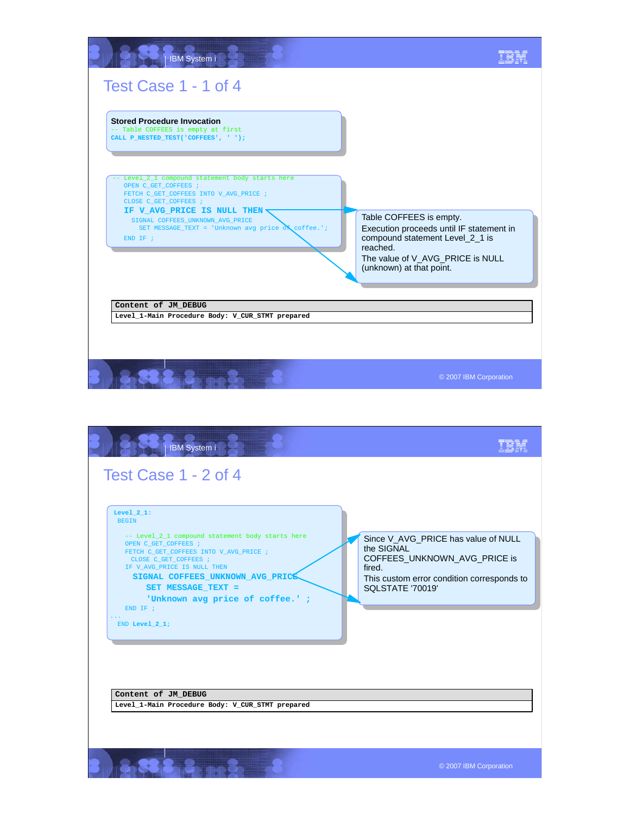

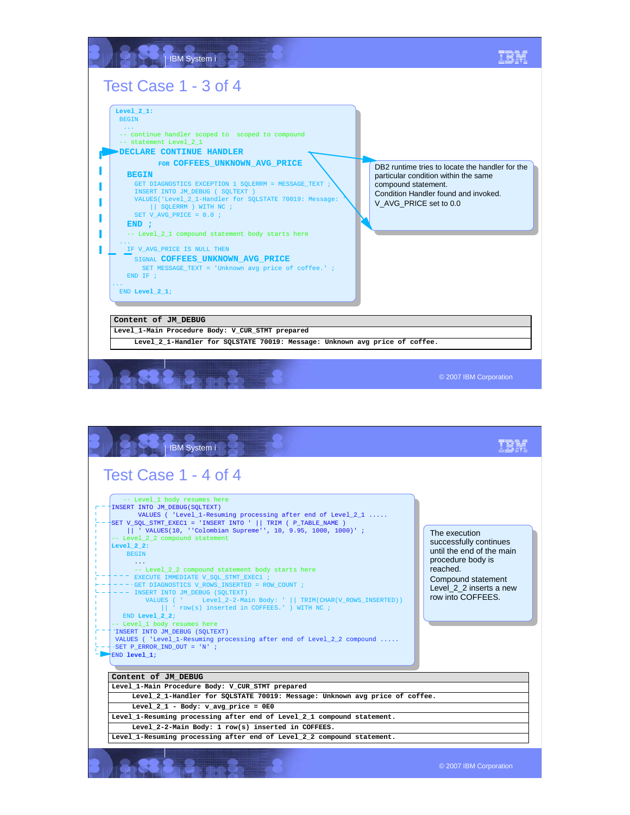![](_page_13_Picture_0.jpeg)

| Test Case 1 - 4 of 4<br>-- Level 1 body resumes here<br>INSERT INTO JM DEBUG(SOLTEXT)<br>VALUES ('Level_1-Resuming processing after end of Level_2_1<br>SET V SOL STMT EXEC1 = 'INSERT INTO '    TRIM ( P TABLE NAME )<br>   ' VALUES(10, ''Colombian Supreme'', 10, 9.95, 1000, 1000)';<br>-- Level 2 2 compound statement<br>Level $2:2:$<br><b>BEGIN</b><br>-- Level_2_2 compound statement body starts here<br>EXECUTE IMMEDIATE V SOL STMT EXEC1 ;<br>$-$ GET DIAGNOSTICS V ROWS INSERTED = ROW COUNT ;<br>INSERT INTO JM_DEBUG (SQLTEXT)<br>VALUES ( ' Level_2-2-Main Body: '    TRIM(CHAR(V_ROWS_INSERTED))<br>   ' row(s) inserted in COFFEES.' ) WITH NC ;<br>END Level $22$ ;<br>-- Level 1 body resumes here<br>INSERT INTO JM DEBUG (SOLTEXT)<br>VALUES ( 'Level_1-Resuming processing after end of Level_2_2 compound<br>SET P ERROR IND OUT = 'N' ;<br>$END$ level $1$ ; | The execution<br>successfully continues<br>until the end of the main<br>procedure body is<br>reached.<br>Compound statement<br>Level 2 2 inserts a new<br>row into COFFEES. |
|----------------------------------------------------------------------------------------------------------------------------------------------------------------------------------------------------------------------------------------------------------------------------------------------------------------------------------------------------------------------------------------------------------------------------------------------------------------------------------------------------------------------------------------------------------------------------------------------------------------------------------------------------------------------------------------------------------------------------------------------------------------------------------------------------------------------------------------------------------------------------------------|-----------------------------------------------------------------------------------------------------------------------------------------------------------------------------|
| Content of JM DEBUG                                                                                                                                                                                                                                                                                                                                                                                                                                                                                                                                                                                                                                                                                                                                                                                                                                                                    |                                                                                                                                                                             |
| Level_1-Main Procedure Body: V_CUR_STMT prepared<br>Level 2 1-Handler for SQLSTATE 70019: Message: Unknown avg price of coffee.                                                                                                                                                                                                                                                                                                                                                                                                                                                                                                                                                                                                                                                                                                                                                        |                                                                                                                                                                             |
| Level $2 1$ - Body: v avg price = $0E0$                                                                                                                                                                                                                                                                                                                                                                                                                                                                                                                                                                                                                                                                                                                                                                                                                                                |                                                                                                                                                                             |
| Level 1-Resuming processing after end of Level 2 1 compound statement.                                                                                                                                                                                                                                                                                                                                                                                                                                                                                                                                                                                                                                                                                                                                                                                                                 |                                                                                                                                                                             |
| Level 2-2-Main Body: 1 row(s) inserted in COFFEES.<br>Level 1-Resuming processing after end of Level 2 2 compound statement.                                                                                                                                                                                                                                                                                                                                                                                                                                                                                                                                                                                                                                                                                                                                                           |                                                                                                                                                                             |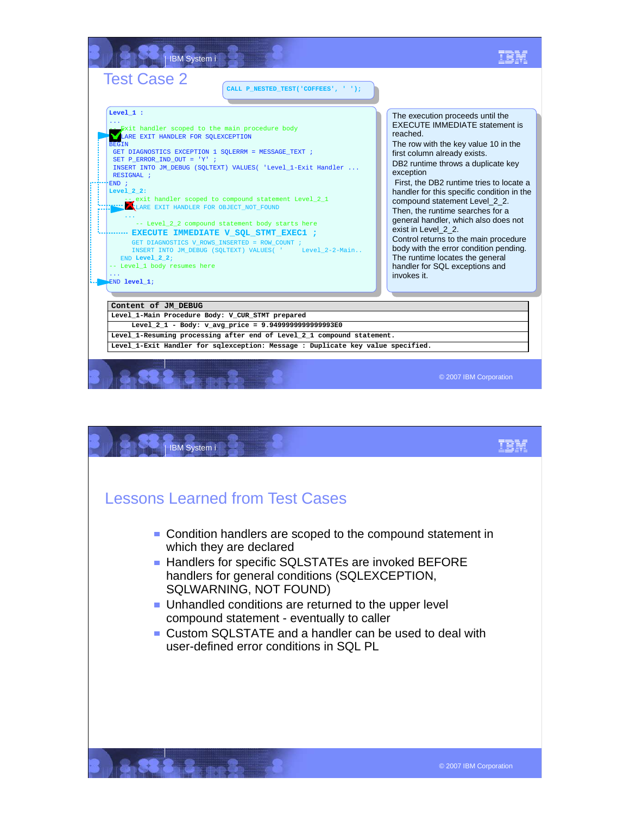![](_page_14_Picture_0.jpeg)

![](_page_14_Picture_1.jpeg)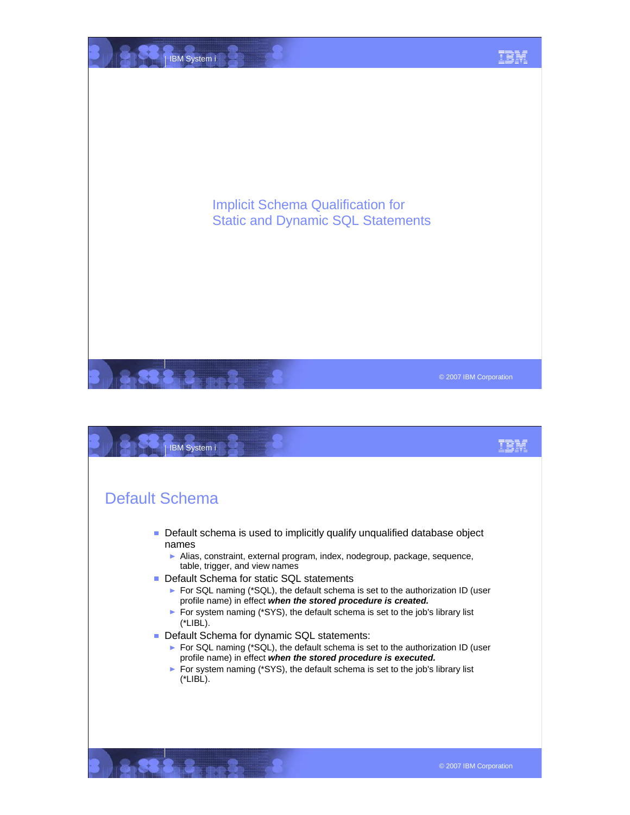![](_page_15_Picture_0.jpeg)

![](_page_15_Picture_1.jpeg)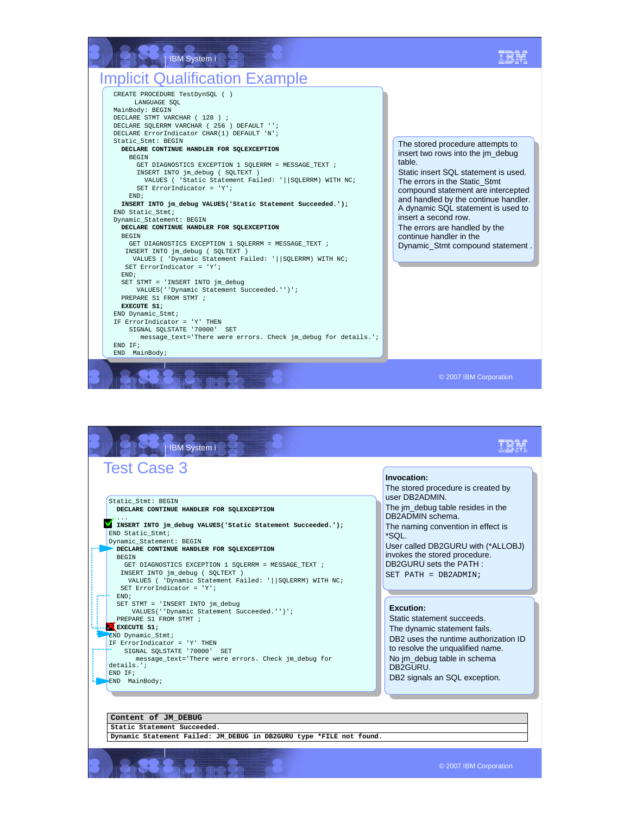![](_page_16_Picture_0.jpeg)

| Static_Stmt: BEGIN<br>DECLARE CONTINUE HANDLER FOR SQLEXCEPTION<br>INSERT INTO jm debug VALUES ('Static Statement Succeeded.');<br>END Static Stmt;<br>Dynamic Statement: BEGIN<br>DECLARE CONTINUE HANDLER FOR SQLEXCEPTION<br><b>BEGTN</b><br>GET DIAGNOSTICS EXCEPTION 1 SOLERRM = MESSAGE TEXT ;<br>INSERT INTO jm debug ( SOLTEXT )<br>VALUES ( 'Dynamic Statement Failed: '  SOLERRM) WITH NC;<br>SET ErrorIndicator = $'Y'$ ;<br>END;<br>SET STMT = 'INSERT INTO jm_debug<br>VALUES(''Dynamic Statement Succeeded.'')'; | The stored procedure is created by<br>user DB2ADMIN.<br>The im_debug table resides in the<br>DB2ADMIN schema.<br>The naming convention in effect is<br>*SOL.<br>User called DB2GURU with (*ALLOBJ)<br>invokes the stored procedure.<br>DB2GURU sets the PATH:<br>$SET$ PATH = DB2ADMIN; |
|--------------------------------------------------------------------------------------------------------------------------------------------------------------------------------------------------------------------------------------------------------------------------------------------------------------------------------------------------------------------------------------------------------------------------------------------------------------------------------------------------------------------------------|-----------------------------------------------------------------------------------------------------------------------------------------------------------------------------------------------------------------------------------------------------------------------------------------|
| PREPARE S1 FROM STMT ;<br>EXECUTE S1;<br>END Dynamic Stmt;<br>IF ErrorIndicator = 'Y' THEN<br>SIGNAL SOLSTATE '70000' SET<br>message_text='There were errors. Check jm_debug for<br>details.<br>END TF;<br>END MainBody;                                                                                                                                                                                                                                                                                                       | Excution:<br>Static statement succeeds.<br>The dynamic statement fails.<br>DB <sub>2</sub> uses the runtime authorization ID<br>to resolve the unqualified name.<br>No jm_debug table in schema<br>DB <sub>2GURU</sub><br>DB2 signals an SQL exception.                                 |

8.33.3.2. ... 3.

© 2007 IBM Corporation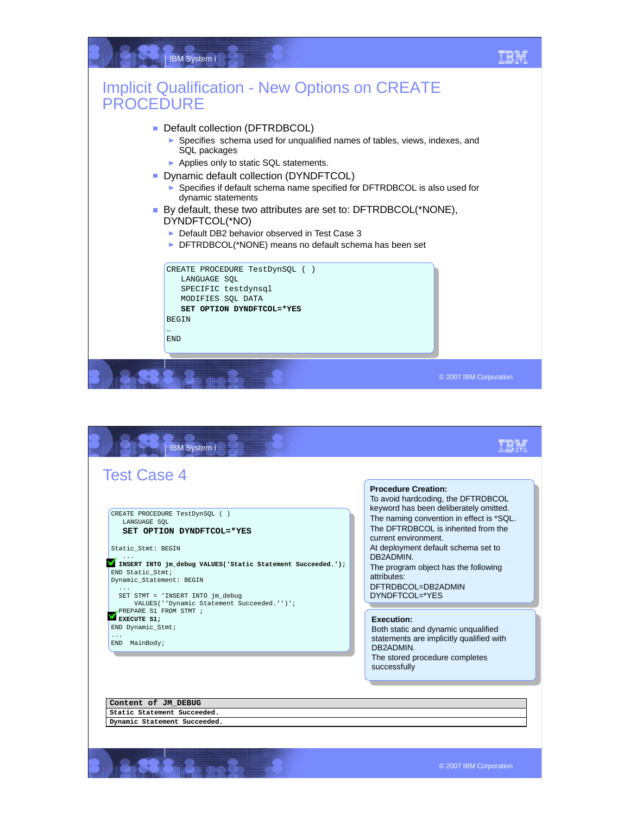![](_page_17_Picture_0.jpeg)

![](_page_17_Picture_1.jpeg)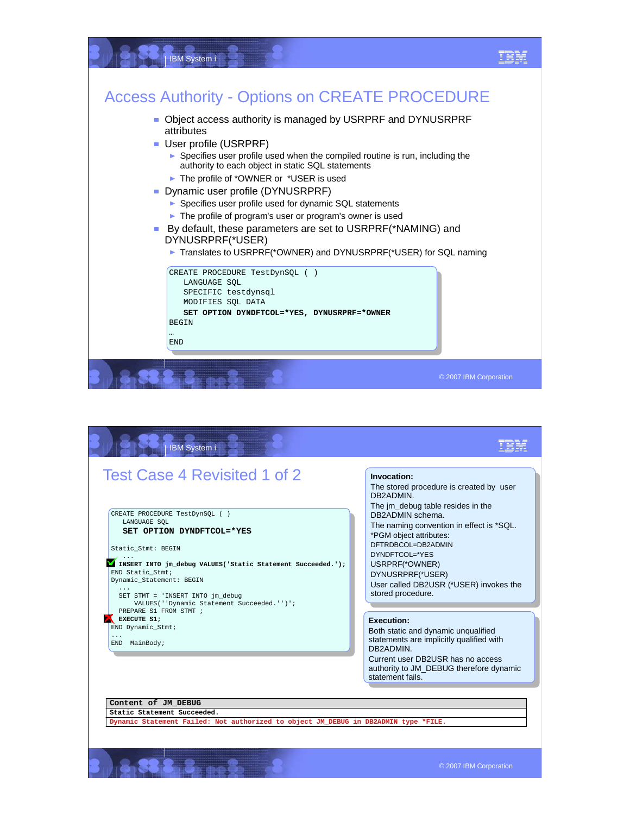![](_page_18_Figure_0.jpeg)

![](_page_18_Picture_1.jpeg)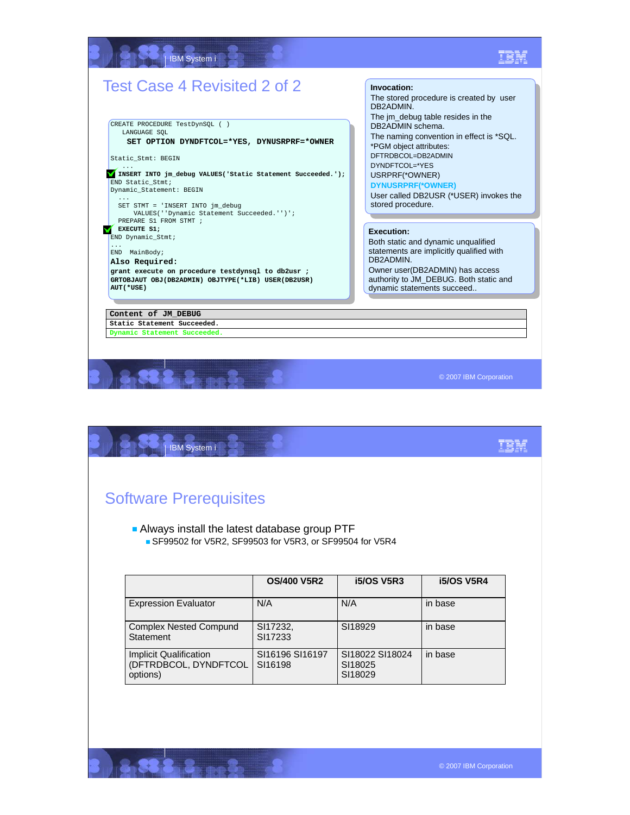## IBM System i IEM Test Case 4 Revisited 2 of 2 **Invocation:** The stored procedure is created by user DB2ADMIN. The jm\_debug table resides in the CREATE PROCEDURE TestDynSQL ( ) DB2ADMIN schema. LANGUAGE SQL The naming convention in effect is \*SQL. **SET OPTION DYNDFTCOL=\*YES, DYNUSRPRF=\*OWNER** \*PGM object attributes: DFTRDBCOL=DB2ADMIN Static\_Stmt: BEGIN DYNDFTCOL=\*YES ... **INSERT INTO jm\_debug VALUES('Static Statement Succeeded.');**  USRPRF(\*OWNER) END Static\_Stmt; **DYNUSRPRF(\*OWNER)**  Dynamic\_Statement: BEGIN User called DB2USR (\*USER) invokes the ... SET STMT = 'INSERT INTO jm\_debug stored procedure. VALUES(''Dynamic Statement Succeeded.'')'; PREPARE S1 FROM STMT ; **EXECUTE S1;**<br>END Dynamic\_Stmt; **Execution:** Both static and dynamic unqualified ... END MainBody; statements are implicitly qualified with DB2ADMIN. **Also Required:** Owner user(DB2ADMIN) has access **grant execute on procedure testdynsql to db2usr ;** authority to JM\_DEBUG. Both static and **GRTOBJAUT OBJ(DB2ADMIN) OBJTYPE(\*LIB) USER(DB2USR) AUT(\*USE)** dynamic statements succeed.. **Content of JM\_DEBUG Static Statement Succeeded. Dynamic Statement Succeeded.** © 2007 IBM Corporation

| IBM System i                                            |                                                |                            |                   |
|---------------------------------------------------------|------------------------------------------------|----------------------------|-------------------|
|                                                         |                                                |                            |                   |
| <b>Software Prerequisites</b>                           |                                                |                            |                   |
|                                                         |                                                |                            |                   |
|                                                         | • Always install the latest database group PTF |                            |                   |
|                                                         |                                                |                            |                   |
| SF99502 for V5R2, SF99503 for V5R3, or SF99504 for V5R4 |                                                |                            |                   |
|                                                         |                                                |                            |                   |
|                                                         | <b>OS/400 V5R2</b>                             | <b>i5/OS V5R3</b>          | <b>i5/OS V5R4</b> |
| <b>Expression Evaluator</b>                             | N/A                                            | N/A                        | in base           |
| <b>Complex Nested Compund</b>                           | SI17232,                                       | SI18929                    | in base           |
| <b>Statement</b>                                        | SI17233                                        |                            |                   |
| Implicit Qualification<br>(DFTRDBCOL, DYNDFTCOL         | SI16196 SI16197<br>SI16198                     | SI18022 SI18024<br>SI18025 | in base           |

 $3.3 \text{ m}$